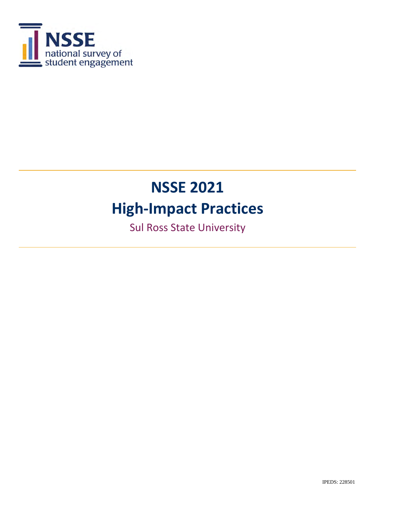

**Sul Ross State University**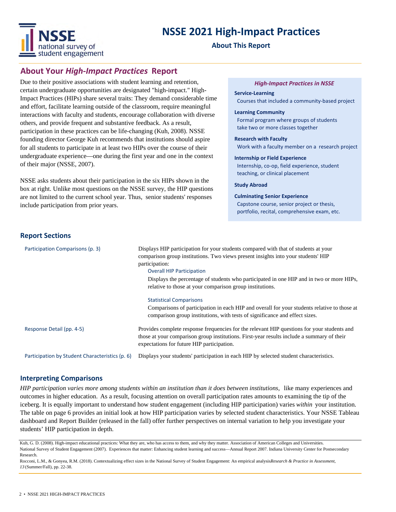

#### **About This Report**

#### **About Your** *High‐Impact Practices* **Report**

Due to their positive associations with student learning and retention, certain undergraduate opportunities are designated "high-impact." High-Impact Practices (HIPs) share several traits: They demand considerable time and effort, facilitate learning outside of the classroom, require meaningful interactions with faculty and students, encourage collaboration with diverse others, and provide frequent and substantive feedback. As a result, participation in these practices can be life-changing (Kuh, 2008). NSSE founding director George Kuh recommends that institutions should aspire for all students to participate in at least two HIPs over the course of their undergraduate experience—one during the first year and one in the context of their major (NSSE, 2007).

NSSE asks students about their participation in the six HIPs shown in the box at right. Unlike most questions on the NSSE survey, the HIP questions are not limited to the current school year. Thus, senior students' responses include participation from prior years.

#### *High‐Impact Practices in NSSE*

**Service‐Learning** Courses that included a community‐based project

#### **Learning Community**

 Formal program where groups of students take two or more classes together

**Research with Faculty** Work with a faculty member on a research project

**Internship or Field Experience** Internship, co‐op, field experience, student teaching, or clinical placement

**Study Abroad**

**Culminating Senior Experience** Capstone course, senior project or thesis, portfolio, recital, comprehensive exam, etc.

#### **Report Sections**

| Participation Comparisons (p. 3)                | Displays HIP participation for your students compared with that of students at your<br>comparison group institutions. Two views present insights into your students' HIP<br>participation:<br><b>Overall HIP Participation</b><br>Displays the percentage of students who participated in one HIP and in two or more HIPs,<br>relative to those at your comparison group institutions.<br><b>Statistical Comparisons</b><br>Comparisons of participation in each HIP and overall for your students relative to those at |
|-------------------------------------------------|-------------------------------------------------------------------------------------------------------------------------------------------------------------------------------------------------------------------------------------------------------------------------------------------------------------------------------------------------------------------------------------------------------------------------------------------------------------------------------------------------------------------------|
|                                                 | comparison group institutions, with tests of significance and effect sizes.                                                                                                                                                                                                                                                                                                                                                                                                                                             |
| Response Detail (pp. 4-5)                       | Provides complete response frequencies for the relevant HIP questions for your students and<br>those at your comparison group institutions. First-year results include a summary of their<br>expectations for future HIP participation.                                                                                                                                                                                                                                                                                 |
| Participation by Student Characteristics (p. 6) | Displays your students' participation in each HIP by selected student characteristics.                                                                                                                                                                                                                                                                                                                                                                                                                                  |

#### **Interpreting Comparisons**

*HIP participation varies more among students within an institution than it does between institutions,* like many experiences and outcomes in higher education. As a result, focusing attention on overall participation rates amounts to examining the tip of the iceberg. It is equally important to understand how student engagement (including HIP participation) varies *within* your institution. The table on page 6 provides an initial look at how HIP participation varies by selected student characteristics. Your NSSE Tableau dashboard and Report Builder (released in the fall) offer further perspectives on internal variation to help you investigate your students' HIP participation in depth.

Kuh, G. D. (2008). High-impact educational practices: What they are, who has access to them, and why they matter. Association of American Colleges and Universities. National Survey of Student Engagement (2007). Experiences that matter: Enhancing student learning and success—Annual Report 2007. Indiana University Center for Postsecondary Research.

Rocconi, L.M., & Gonyea, R.M. (2018). Contextualizing effect sizes in the National Survey of Student Engagement: An empirical analysis*Research & Practice in Assessment*, *13* (Summer/Fall), pp. 22-38.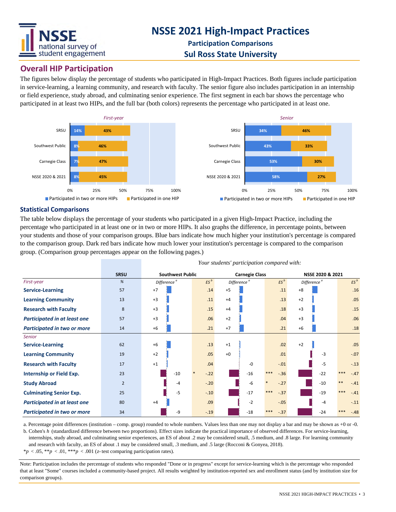

### **Overall HIP Participation**

The figures below display the percentage of students who participated in High-Impact Practices. Both figures include participation in service-learning, a learning community, and research with faculty. The senior figure also includes participation in an internship or field experience, study abroad, and culminating senior experience. The first segment in each bar shows the percentage who participated in at least two HIPs, and the full bar (both colors) represents the percentage who participated in at least one.



#### **Statistical Comparisons**

The table below displays the percentage of your students who participated in a given High-Impact Practice, including the percentage who participated in at least one or in two or more HIPs. It also graphs the difference, in percentage points, between your students and those of your comparison groups. Blue bars indicate how much higher your institution's percentage is compared to the comparison group. Dark red bars indicate how much lower your institution's percentage is compared to the comparison group. (Comparison group percentages appear on the following pages.)

|                                     | <b>SRSU</b>    | <b>Southwest Public</b> |                         |                 | <b>Carnegie Class</b> |                         |                 | NSSE 2020 & 2021 |                         |       |        |
|-------------------------------------|----------------|-------------------------|-------------------------|-----------------|-----------------------|-------------------------|-----------------|------------------|-------------------------|-------|--------|
| First-year                          | %              |                         | Difference <sup>a</sup> | ES <sup>b</sup> |                       | Difference <sup>a</sup> | $ES^b$          |                  | Difference <sup>a</sup> |       | $ES^b$ |
| <b>Service-Learning</b>             | 57             | $+7$                    |                         | .14             | $+5$                  |                         | .11             | $+8$             |                         |       | .16    |
| <b>Learning Community</b>           | 13             | $+3$                    |                         | .11             | $+4$                  |                         | .13             | $+2$             |                         |       | .05    |
| <b>Research with Faculty</b>        | 8              | $+3$                    |                         | .15             | $+4$                  |                         | .18             | $+3$             |                         |       | .15    |
| <b>Participated in at least one</b> | 57             | $+3$                    |                         | .06             | $+2$                  |                         | .04             | $+3$             |                         |       | .06    |
| Participated in two or more         | 14             | $+6$                    |                         | .21             | $+7$                  |                         | .21             | $+6$             |                         |       | .18    |
| <b>Senior</b>                       |                |                         |                         |                 |                       |                         |                 |                  |                         |       |        |
| <b>Service-Learning</b>             | 62             | $+6$                    |                         | .13             | $+1$                  |                         | .02             | $+2$             |                         |       | .05    |
| <b>Learning Community</b>           | 19             | $+2$                    |                         | .05             | $+0$                  |                         | .01             |                  | $-3$                    |       | $-.07$ |
| <b>Research with Faculty</b>        | 17             | $+1$                    |                         | .04             |                       | $-0$                    | $-.01$          |                  | $-5$                    |       | $-.13$ |
| Internship or Field Exp.            | 23             |                         | $-10$                   | $-.22$          |                       | $-16$                   | $***$<br>$-.36$ |                  | $-22$                   | $***$ | $-.47$ |
| <b>Study Abroad</b>                 | $\overline{2}$ |                         | $-4$                    | $-.20$          |                       | $-6$                    | $-.27$          |                  | $-10$                   | $***$ | $-.41$ |
| <b>Culminating Senior Exp.</b>      | 25             |                         | $-5$                    | $-.10$          |                       | $-17$                   | $***$<br>$-.37$ |                  | $-19$                   | ***   | $-.41$ |
| <b>Participated in at least one</b> | 80             | $+4$                    |                         | .09             |                       | $-2$                    | $-.05$          |                  | $-4$                    |       | $-.11$ |
| Participated in two or more         | 34             |                         | -9                      | $-.19$          |                       | $-18$                   | ***<br>$-.37$   |                  | $-24$                   | ***   | $-.48$ |

*Your students' participation compared with:*

a. Percentage point differences (institution – comp. group) rounded to whole numbers. Values less than one may not display a bar and may be shown as +0 or -0.

b. Cohen's *h* (standardized difference between two proportions). Effect sizes indicate the practical importance of observed differences. For service-learning, internships, study abroad, and culminating senior experiences, an ES of about .2 may be considered small, .5 medium, and .8 large. For learning community and research with faculty, an ES of about .1 may be considered small, .3 medium, and .5 large (Rocconi & Gonyea, 2018).  $*p < .05, **p < .01, ***p < .001$  (*z*-test comparing participation rates).

Note: Participation includes the percentage of students who responded "Done or in progress" except for service-learning which is the percentage who responded that at least "Some" courses included a community-based project. All results weighted by institution-reported sex and enrollment status (and by institution size for comparison groups).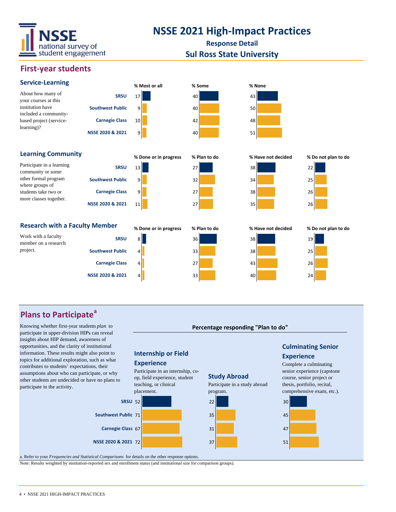

**Response Detail**

#### **Sul Ross State University**

#### **First‐year students**



Participate in a learning community or some other formal program where groups of students take two or more classes together.

| About how many of       | SI                       |
|-------------------------|--------------------------|
| your courses at this    |                          |
| institution have        | <b>Southwest Pu</b>      |
| included a community-   |                          |
| based project (service- | <b>Carnegie C</b>        |
| $learning$ ?            |                          |
|                         | <b>NSSE 2020 &amp; 2</b> |











#### Research with a Faculty Member<br>
% Done or in progress<br>
% Plan to do<br>
% Have not decided
% Do not plan to do

| Work with a faculty  | <b>SRSU</b>             |
|----------------------|-------------------------|
| member on a research |                         |
| project.             | <b>Southwest Public</b> |
|                      | <b>Carnegie Class</b>   |

**NSSE 2020 & 2021**

**Southwest Public**

**Carnegie Class NSSE 2020 & 2021**

**SRSU**









### **Plans to Participate<sup>a</sup>**

Knowing whether first-year students *plan* to participate in upper-division HIPs can reveal insights about HIP demand, awareness of opportunities, and the clarity of institutional information. These results might also point to topics for additional exploration, such as what contributes to students' expectations, their assumptions about who can participate, or why other students are undecided or have no plans to participate in the activity.



a. Refer to your *Frequencies and Statistical Comparisons* for details on the other response options.

Note: Results weighted by institution-reported sex and enrollment status (and institutional size for comparison groups).

# **Percentage responding "Plan to do"**

#### 4 • NSSE 2021 HIGH-IMPACT PRACTICES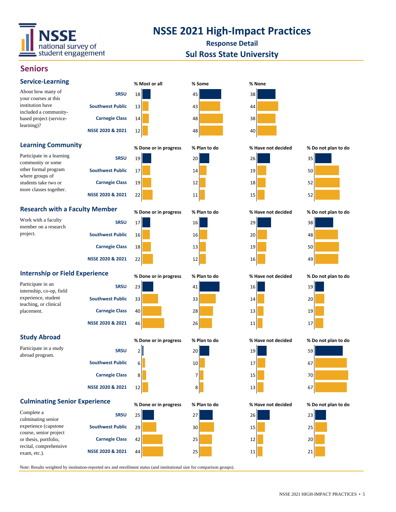

**Response Detail**

#### **Sul Ross State University**

#### **Seniors**

| <b>Service-Learning</b>                                                   |                         | % Most or all         | % Some       | % None             |                     |
|---------------------------------------------------------------------------|-------------------------|-----------------------|--------------|--------------------|---------------------|
| About how many of<br>your courses at this                                 | <b>SRSU</b>             | 18                    | 45           | 38                 |                     |
| institution have<br>included a community-<br>based project (service-      | <b>Southwest Public</b> | 13                    | 43           | 44                 |                     |
|                                                                           | <b>Carnegie Class</b>   | 14                    | 48           | 38                 |                     |
| learning)?                                                                | NSSE 2020 & 2021        | 12                    | 48           | 40                 |                     |
| <b>Learning Community</b>                                                 |                         | % Done or in progress | % Plan to do | % Have not decided | % Do not plan to do |
| Participate in a learning                                                 | <b>SRSU</b>             | 19                    | 20           | 26                 | 35                  |
| community or some<br>other formal program<br>where groups of              | <b>Southwest Public</b> | 17                    | 14           | 19                 | 50                  |
| students take two or                                                      | <b>Carnegie Class</b>   | 19                    | 12           | 18                 | 52                  |
| more classes together.                                                    | NSSE 2020 & 2021        | 22                    | 11           | 15                 | 52                  |
| <b>Research with a Faculty Member</b>                                     |                         | % Done or in progress | % Plan to do | % Have not decided | % Do not plan to do |
| Work with a faculty<br>member on a research                               | <b>SRSU</b>             | 17                    | 16           | 29                 | 38                  |
| project.                                                                  | <b>Southwest Public</b> | 16                    | 16           | 20                 | 48                  |
|                                                                           | <b>Carnegie Class</b>   | 18                    | 13           | 19                 | 50                  |
|                                                                           | NSSE 2020 & 2021        | 22                    | 12           | 16                 | 49                  |
| <b>Internship or Field Experience</b>                                     |                         | % Done or in progress | % Plan to do | % Have not decided | % Do not plan to do |
|                                                                           |                         |                       |              |                    |                     |
| Participate in an                                                         | <b>SRSU</b>             | 23                    | 41           | 16                 | 19                  |
| internship, co-op, field<br>experience, student                           | <b>Southwest Public</b> | 33                    | 33           | 14                 | 20                  |
| teaching, or clinical<br>placement.                                       | <b>Carnegie Class</b>   | 40                    | 28           | 13                 | 19                  |
|                                                                           | NSSE 2020 & 2021        | 46                    | 26           | 11                 | 17                  |
| <b>Study Abroad</b>                                                       |                         | % Done or in progress | % Plan to do | % Have not decided | % Do not plan to do |
| Participate in a study                                                    | <b>SRSU</b>             | $\overline{2}$        | 20           | 19                 | 59                  |
| abroad program.                                                           | <b>Southwest Public</b> | 6                     | 10           | 17                 | 67                  |
|                                                                           | <b>Carnegie Class</b>   | 8                     | 7            | 15                 | 70                  |
|                                                                           | NSSE 2020 & 2021        | 12                    | 8            | 13                 | 67                  |
| <b>Culminating Senior Experience</b>                                      |                         | % Done or in progress | % Plan to do | % Have not decided | % Do not plan to do |
| Complete a                                                                | <b>SRSU</b>             | 25                    | 27           | 26                 | 23                  |
| culminating senior<br>experience (capstone                                | <b>Southwest Public</b> | 29                    | 30           | 15                 | 25                  |
| course, senior project<br>or thesis, portfolio,<br>recital, comprehensive | <b>Carnegie Class</b>   | 42                    | 25           | 12                 | 20                  |

Note: Results weighted by institution-reported sex and enrollment status (and institutional size for comparison groups).